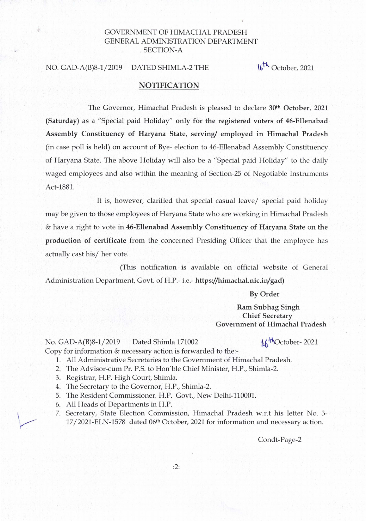## GOVERNMENT OF HIMACHAL PRADESH GENERAL ADMINISTRATION DEPARTMENT . SECTION-A

## NO. GAD-A(B)8-1/2019 DATED SHIMLA-2 THE  $16^{th}$  October, 2021

## NOTIFICATION

The Governor, Himachal Pradesh is pleased to declare 30<sup>th</sup> October, 2021 (Saturday) as a "Special paid Holiday" only for the registered voters of 46-Ellenabad Assembly Constituency of Haryana State, serving/ employed in Himachal Pradesh (in case poll is held) on account of Bye- election to 46-Ellenabad Assembly Constituency of Haryana State. The above Holiday will also be a "Special paid Holiday" to the daily waged employees and also within the meaning of Section-25 of Negotiable Instruments Act-1881.

It is, however, clarified that special casual leave/ special paid holiday may be given to those employees of Haryana State who are working in Himachal Pradesh & have a right to vote in 46-Ellenabad Assembly Constituency of Haryana State on the production of certificate from the concerned Presiding Officer that the employee has actually cast his/ her vote.

(This notification is available on official website of General Administration Department, Govt. of H.P.- i.e.- https://himachal.nic.in/gad)

By Order

Ram Subhag Singh Chief Secretary Government of Himachal Pradesh

No. GAD-A(B)8-1/2019 Dated Shimla 171002  $\Lambda\kappa^{H}$ October- 2021 Copy for information & necessary action is forwarded to the:-

- 1. All Administrative Secretaries to the Government of Himachal Pradesh.
- 2. The Advisor-cum Pr. P.S. to Hon'ble Chief Minister, H.P., Shimla-2.
- 3. Registrar, H.P. High Court, Shimla.
- 4. The Secretary to the Governor, H.P., Shimla-2.
- 5. The Resident Commissioner. H.P. Govt., New Delhi-110001.
- 6. All Heads of Departments in H.P.

 $\mathcal{L}$ 

 $\overline{\phantom{a}}$ 

7. Secretary, State Election Commission, Himachal Pradesh W.r.t his letter No. 3- 17/2021-ELN-1578 dated 06th October, 2021 for information and necessary action.

Condt-Page-2